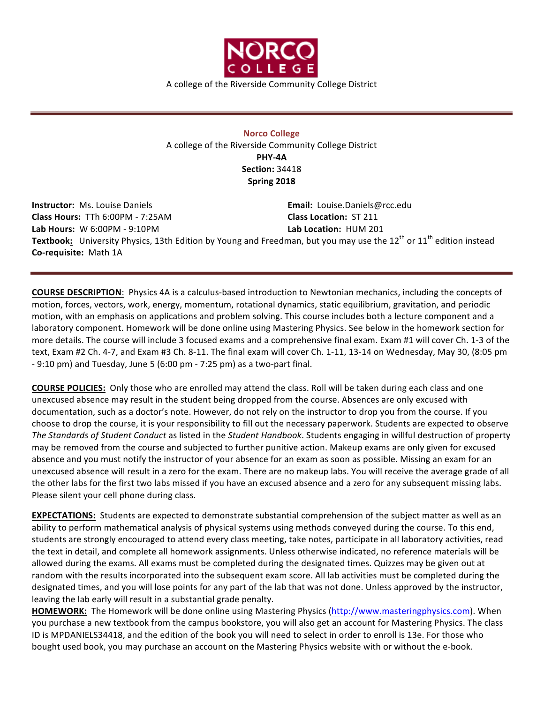

A college of the Riverside Community College District

**Norco College** A college of the Riverside Community College District **PHY-4A Section:** 34418 **Spring 2018**

**Instructor:** Ms. Louise Daniels **Email:** Louise.Daniels@rcc.edu **Class Hours:** TTh 6:00PM - 7:25AM **Class Location:** ST 211 Lab Hours: W 6:00PM - 9:10PM **Lab Location:** HUM 201 **Textbook:** University Physics, 13th Edition by Young and Freedman, but you may use the 12<sup>th</sup> or 11<sup>th</sup> edition instead **Co-requisite:** Math 1A

**COURSE DESCRIPTION:** Physics 4A is a calculus-based introduction to Newtonian mechanics, including the concepts of motion, forces, vectors, work, energy, momentum, rotational dynamics, static equilibrium, gravitation, and periodic motion, with an emphasis on applications and problem solving. This course includes both a lecture component and a laboratory component. Homework will be done online using Mastering Physics. See below in the homework section for more details. The course will include 3 focused exams and a comprehensive final exam. Exam #1 will cover Ch. 1-3 of the text, Exam #2 Ch. 4-7, and Exam #3 Ch. 8-11. The final exam will cover Ch. 1-11, 13-14 on Wednesday, May 30, (8:05 pm  $-9:10$  pm) and Tuesday, June 5 (6:00 pm  $-7:25$  pm) as a two-part final.

**COURSE POLICIES:** Only those who are enrolled may attend the class. Roll will be taken during each class and one unexcused absence may result in the student being dropped from the course. Absences are only excused with documentation, such as a doctor's note. However, do not rely on the instructor to drop you from the course. If you choose to drop the course, it is your responsibility to fill out the necessary paperwork. Students are expected to observe *The Standards of Student Conduct* as listed in the *Student Handbook*. Students engaging in willful destruction of property may be removed from the course and subjected to further punitive action. Makeup exams are only given for excused absence and you must notify the instructor of your absence for an exam as soon as possible. Missing an exam for an unexcused absence will result in a zero for the exam. There are no makeup labs. You will receive the average grade of all the other labs for the first two labs missed if you have an excused absence and a zero for any subsequent missing labs. Please silent your cell phone during class.

**EXPECTATIONS:** Students are expected to demonstrate substantial comprehension of the subject matter as well as an ability to perform mathematical analysis of physical systems using methods conveyed during the course. To this end, students are strongly encouraged to attend every class meeting, take notes, participate in all laboratory activities, read the text in detail, and complete all homework assignments. Unless otherwise indicated, no reference materials will be allowed during the exams. All exams must be completed during the designated times. Quizzes may be given out at random with the results incorporated into the subsequent exam score. All lab activities must be completed during the designated times, and you will lose points for any part of the lab that was not done. Unless approved by the instructor, leaving the lab early will result in a substantial grade penalty.

**HOMEWORK:** The Homework will be done online using Mastering Physics (http://www.masteringphysics.com). When you purchase a new textbook from the campus bookstore, you will also get an account for Mastering Physics. The class ID is MPDANIELS34418, and the edition of the book you will need to select in order to enroll is 13e. For those who bought used book, you may purchase an account on the Mastering Physics website with or without the e-book.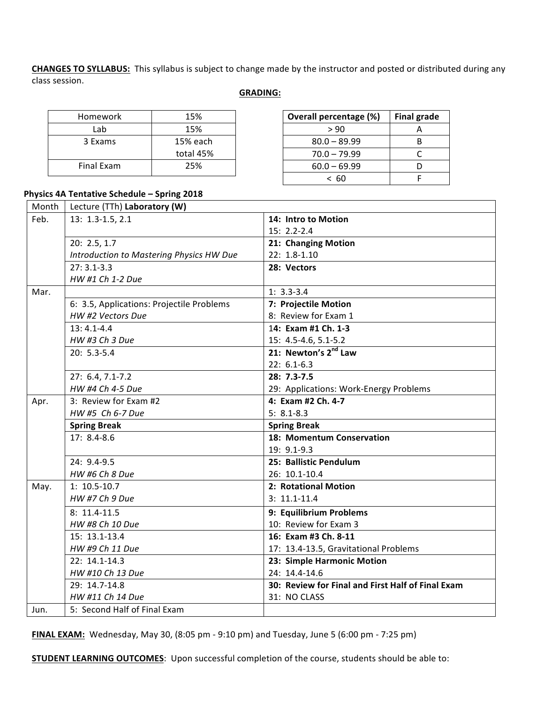**CHANGES TO SYLLABUS:** This syllabus is subject to change made by the instructor and posted or distributed during any class session.

## **GRADING:**

| Homework          | 15%       |
|-------------------|-----------|
| Lab               | 15%       |
| 3 Exams           | 15% each  |
|                   | total 45% |
| <b>Final Exam</b> | 25%       |

| Overall percentage (%) | <b>Final grade</b> |
|------------------------|--------------------|
| > 90                   |                    |
| $80.0 - 89.99$         |                    |
| $70.0 - 79.99$         |                    |
| $60.0 - 69.99$         |                    |
| < 60                   |                    |

## **Physics 4A Tentative Schedule – Spring 2018**

| Month | Lecture (TTh) Laboratory (W)              |                                                   |  |
|-------|-------------------------------------------|---------------------------------------------------|--|
| Feb.  | 13: 1.3-1.5, 2.1                          | 14: Intro to Motion                               |  |
|       |                                           | 15: 2.2-2.4                                       |  |
|       | 20: 2.5, 1.7                              | 21: Changing Motion                               |  |
|       | Introduction to Mastering Physics HW Due  | $22: 1.8 - 1.10$                                  |  |
|       | $27:3.1-3.3$                              | 28: Vectors                                       |  |
|       | HW #1 Ch 1-2 Due                          |                                                   |  |
| Mar.  |                                           | $1: 3.3 - 3.4$                                    |  |
|       | 6: 3.5, Applications: Projectile Problems | 7: Projectile Motion                              |  |
|       | HW #2 Vectors Due                         | 8: Review for Exam 1                              |  |
|       | $13: 4.1 - 4.4$                           | 14: Exam #1 Ch. 1-3                               |  |
|       | HW #3 Ch 3 Due                            | 15: 4.5-4.6, 5.1-5.2                              |  |
|       | $20: 5.3 - 5.4$                           | 21: Newton's 2 <sup>nd</sup> Law                  |  |
|       |                                           | $22: 6.1 - 6.3$                                   |  |
|       | 27: 6.4, 7.1-7.2                          | $28: 7.3 - 7.5$                                   |  |
|       | HW #4 Ch 4-5 Due                          | 29: Applications: Work-Energy Problems            |  |
| Apr.  | 3: Review for Exam #2                     | 4: Exam #2 Ch. 4-7                                |  |
|       | HW #5 Ch 6-7 Due                          | $5: 8.1 - 8.3$                                    |  |
|       | <b>Spring Break</b>                       | <b>Spring Break</b>                               |  |
|       | $17:8.4-8.6$                              | 18: Momentum Conservation                         |  |
|       |                                           | $19: 9.1 - 9.3$                                   |  |
|       | 24: 9.4-9.5                               | 25: Ballistic Pendulum                            |  |
|       | HW #6 Ch 8 Due                            | 26: 10.1-10.4                                     |  |
| May.  | $1: 10.5 - 10.7$                          | 2: Rotational Motion                              |  |
|       | HW #7 Ch 9 Due                            | $3: 11.1 - 11.4$                                  |  |
|       | $8: 11.4 - 11.5$                          | 9: Equilibrium Problems                           |  |
|       | HW #8 Ch 10 Due                           | 10: Review for Exam 3                             |  |
|       | 15: 13.1-13.4                             | 16: Exam #3 Ch. 8-11                              |  |
|       | HW #9 Ch 11 Due                           | 17: 13.4-13.5, Gravitational Problems             |  |
|       | 22: 14.1-14.3                             | 23: Simple Harmonic Motion                        |  |
|       | HW #10 Ch 13 Due                          | 24: 14.4-14.6                                     |  |
|       | 29: 14.7-14.8                             | 30: Review for Final and First Half of Final Exam |  |
|       | HW #11 Ch 14 Due                          | 31: NO CLASS                                      |  |
| Jun.  | 5: Second Half of Final Exam              |                                                   |  |

**FINAL EXAM:** Wednesday, May 30, (8:05 pm - 9:10 pm) and Tuesday, June 5 (6:00 pm - 7:25 pm)

**STUDENT LEARNING OUTCOMES:** Upon successful completion of the course, students should be able to: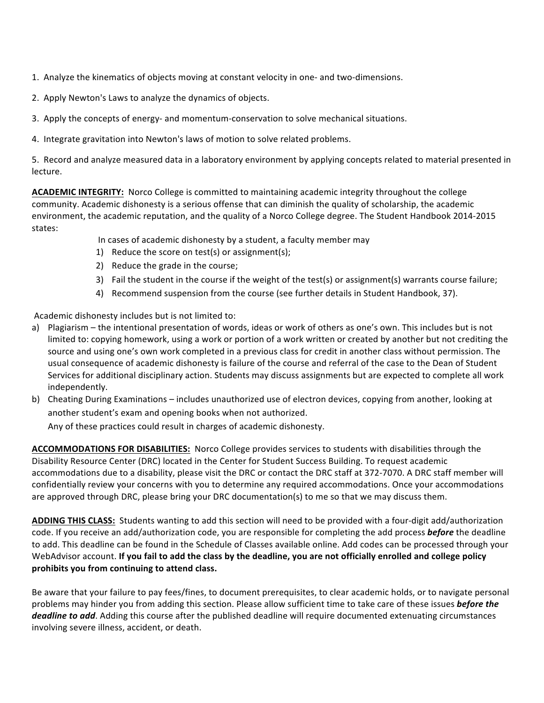1. Analyze the kinematics of objects moving at constant velocity in one- and two-dimensions.

- 2. Apply Newton's Laws to analyze the dynamics of objects.
- 3. Apply the concepts of energy- and momentum-conservation to solve mechanical situations.
- 4. Integrate gravitation into Newton's laws of motion to solve related problems.

5. Record and analyze measured data in a laboratory environment by applying concepts related to material presented in lecture.

**ACADEMIC INTEGRITY:** Norco College is committed to maintaining academic integrity throughout the college community. Academic dishonesty is a serious offense that can diminish the quality of scholarship, the academic environment, the academic reputation, and the quality of a Norco College degree. The Student Handbook 2014-2015 states:

In cases of academic dishonesty by a student, a faculty member may

- 1) Reduce the score on test(s) or assignment(s);
- 2) Reduce the grade in the course;
- 3) Fail the student in the course if the weight of the test(s) or assignment(s) warrants course failure;
- 4) Recommend suspension from the course (see further details in Student Handbook, 37).

Academic dishonesty includes but is not limited to:

- a) Plagiarism the intentional presentation of words, ideas or work of others as one's own. This includes but is not limited to: copying homework, using a work or portion of a work written or created by another but not crediting the source and using one's own work completed in a previous class for credit in another class without permission. The usual consequence of academic dishonesty is failure of the course and referral of the case to the Dean of Student Services for additional disciplinary action. Students may discuss assignments but are expected to complete all work independently.
- b) Cheating During Examinations includes unauthorized use of electron devices, copying from another, looking at another student's exam and opening books when not authorized.

Any of these practices could result in charges of academic dishonesty.

ACCOMMODATIONS FOR DISABILITIES: Norco College provides services to students with disabilities through the Disability Resource Center (DRC) located in the Center for Student Success Building. To request academic accommodations due to a disability, please visit the DRC or contact the DRC staff at 372-7070. A DRC staff member will confidentially review your concerns with you to determine any required accommodations. Once your accommodations are approved through DRC, please bring your DRC documentation(s) to me so that we may discuss them.

ADDING THIS CLASS: Students wanting to add this section will need to be provided with a four-digit add/authorization code. If you receive an add/authorization code, you are responsible for completing the add process **before** the deadline to add. This deadline can be found in the Schedule of Classes available online. Add codes can be processed through your WebAdvisor account. If you fail to add the class by the deadline, you are not officially enrolled and college policy prohibits you from continuing to attend class.

Be aware that your failure to pay fees/fines, to document prerequisites, to clear academic holds, or to navigate personal problems may hinder you from adding this section. Please allow sufficient time to take care of these issues **before the** *deadline to add*. Adding this course after the published deadline will require documented extenuating circumstances involving severe illness, accident, or death.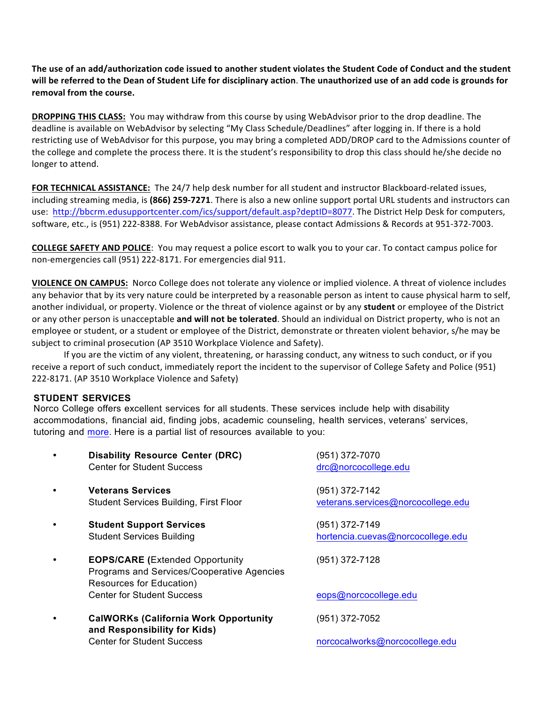The use of an add/authorization code issued to another student violates the Student Code of Conduct and the student will be referred to the Dean of Student Life for disciplinary action. The unauthorized use of an add code is grounds for removal from the course.

**DROPPING THIS CLASS:** You may withdraw from this course by using WebAdvisor prior to the drop deadline. The deadline is available on WebAdvisor by selecting "My Class Schedule/Deadlines" after logging in. If there is a hold restricting use of WebAdvisor for this purpose, you may bring a completed ADD/DROP card to the Admissions counter of the college and complete the process there. It is the student's responsibility to drop this class should he/she decide no longer to attend.

**FOR TECHNICAL ASSISTANCE:** The 24/7 help desk number for all student and instructor Blackboard-related issues, including streaming media, is (866) 259-7271. There is also a new online support portal URL students and instructors can use: http://bbcrm.edusupportcenter.com/ics/support/default.asp?deptID=8077. The District Help Desk for computers, software, etc., is (951) 222-8388. For WebAdvisor assistance, please contact Admissions & Records at 951-372-7003.

**COLLEGE SAFETY AND POLICE:** You may request a police escort to walk you to your car. To contact campus police for non-emergencies call (951) 222-8171. For emergencies dial 911.

**VIOLENCE ON CAMPUS:** Norco College does not tolerate any violence or implied violence. A threat of violence includes any behavior that by its very nature could be interpreted by a reasonable person as intent to cause physical harm to self, another individual, or property. Violence or the threat of violence against or by any student or employee of the District or any other person is unacceptable and will not be tolerated. Should an individual on District property, who is not an employee or student, or a student or employee of the District, demonstrate or threaten violent behavior, s/he may be subject to criminal prosecution (AP 3510 Workplace Violence and Safety).

If you are the victim of any violent, threatening, or harassing conduct, any witness to such conduct, or if you receive a report of such conduct, immediately report the incident to the supervisor of College Safety and Police (951) 222-8171. (AP 3510 Workplace Violence and Safety)

## **STUDENT SERVICES**

Norco College offers excellent services for all students. These services include help with disability accommodations, financial aid, finding jobs, academic counseling, health services, veterans' services, tutoring and more. Here is a partial list of resources available to you:

|           | <b>Disability Resource Center (DRC)</b><br><b>Center for Student Success</b>                                     | (951) 372-7070<br>drc@norcocollege.edu               |
|-----------|------------------------------------------------------------------------------------------------------------------|------------------------------------------------------|
| $\bullet$ | <b>Veterans Services</b><br><b>Student Services Building, First Floor</b>                                        | (951) 372-7142<br>veterans.services@norcocollege.edu |
|           | <b>Student Support Services</b><br><b>Student Services Building</b>                                              | (951) 372-7149<br>hortencia.cuevas@norcocollege.edu  |
|           | <b>EOPS/CARE</b> (Extended Opportunity<br>Programs and Services/Cooperative Agencies<br>Resources for Education) | (951) 372-7128                                       |
|           | Center for Student Success                                                                                       | eops@norcocollege.edu                                |
|           | <b>CalWORKs (California Work Opportunity</b><br>and Responsibility for Kids)                                     | (951) 372-7052                                       |
|           | <b>Center for Student Success</b>                                                                                | norcocalworks@norcocollege.edu                       |